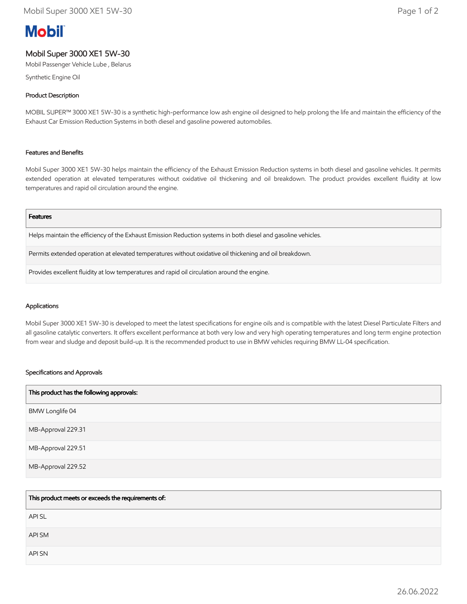# **Mobil**

# Mobil Super 3000 XE1 5W-30

Mobil Passenger Vehicle Lube , Belarus

Synthetic Engine Oil

# Product Description

MOBIL SUPER™ 3000 XE1 5W-30 is a synthetic high-performance low ash engine oil designed to help prolong the life and maintain the efficiency of the Exhaust Car Emission Reduction Systems in both diesel and gasoline powered automobiles.

### Features and Benefits

Mobil Super 3000 XE1 5W-30 helps maintain the efficiency of the Exhaust Emission Reduction systems in both diesel and gasoline vehicles. It permits extended operation at elevated temperatures without oxidative oil thickening and oil breakdown. The product provides excellent fluidity at low temperatures and rapid oil circulation around the engine.

#### Features

Helps maintain the efficiency of the Exhaust Emission Reduction systems in both diesel and gasoline vehicles.

Permits extended operation at elevated temperatures without oxidative oil thickening and oil breakdown.

Provides excellent fluidity at low temperatures and rapid oil circulation around the engine.

#### Applications

Mobil Super 3000 XE1 5W-30 is developed to meet the latest specifications for engine oils and is compatible with the latest Diesel Particulate Filters and all gasoline catalytic converters. It offers excellent performance at both very low and very high operating temperatures and long term engine protection from wear and sludge and deposit build-up. It is the recommended product to use in BMW vehicles requiring BMW LL-04 specification.

#### Specifications and Approvals

| This product has the following approvals: |
|-------------------------------------------|
| BMW Longlife 04                           |
| MB-Approval 229.31                        |
| MB-Approval 229.51                        |
| MB-Approval 229.52                        |

| This product meets or exceeds the requirements of: |
|----------------------------------------------------|
| <b>APISL</b>                                       |
| API SM                                             |
| <b>API SN</b>                                      |